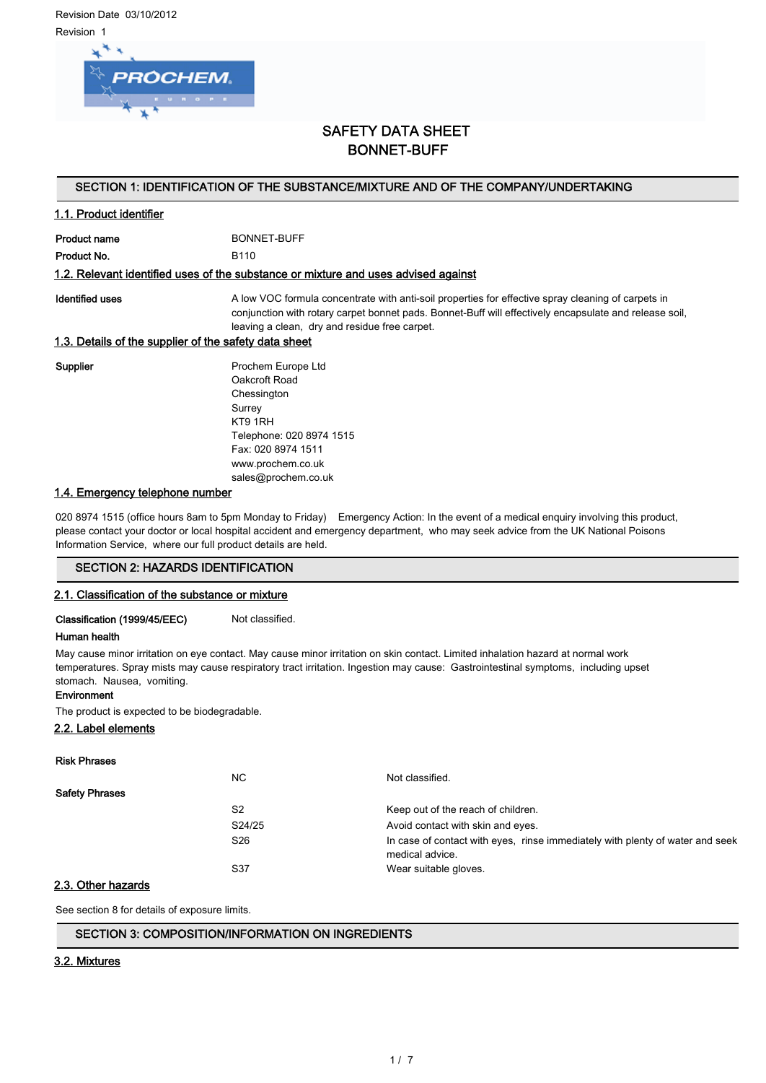Revision Date 03/10/2012 Revision 1



# SAFETY DATA SHEET BONNET-BUFF

## SECTION 1: IDENTIFICATION OF THE SUBSTANCE/MIXTURE AND OF THE COMPANY/UNDERTAKING

## 1.1. Product identifier

Product name BONNET-BUFF

Product No. 6110

#### 1.2. Relevant identified uses of the substance or mixture and uses advised against

Identified uses **A** low VOC formula concentrate with anti-soil properties for effective spray cleaning of carpets in conjunction with rotary carpet bonnet pads. Bonnet-Buff will effectively encapsulate and release soil, leaving a clean, dry and residue free carpet.

#### 1.3. Details of the supplier of the safety data sheet

Supplier **Prochem Europe Ltd** Oakcroft Road Chessington Surrey KT9 1RH Telephone: 020 8974 1515 Fax: 020 8974 1511 www.prochem.co.uk sales@prochem.co.uk

#### 1.4. Emergency telephone number

020 8974 1515 (office hours 8am to 5pm Monday to Friday) Emergency Action: In the event of a medical enquiry involving this product, please contact your doctor or local hospital accident and emergency department, who may seek advice from the UK National Poisons Information Service, where our full product details are held.

## SECTION 2: HAZARDS IDENTIFICATION

#### 2.1. Classification of the substance or mixture

Classification (1999/45/EEC) Not classified.

#### Human health

May cause minor irritation on eye contact. May cause minor irritation on skin contact. Limited inhalation hazard at normal work temperatures. Spray mists may cause respiratory tract irritation. Ingestion may cause: Gastrointestinal symptoms, including upset stomach. Nausea, vomiting.

#### Environment

The product is expected to be biodegradable.

## 2.2. Label elements

|                       | NC.             | Not classified.                                                                                  |
|-----------------------|-----------------|--------------------------------------------------------------------------------------------------|
| <b>Safety Phrases</b> |                 |                                                                                                  |
|                       | S <sub>2</sub>  | Keep out of the reach of children.                                                               |
|                       | S24/25          | Avoid contact with skin and eyes.                                                                |
|                       | S <sub>26</sub> | In case of contact with eyes, rinse immediately with plenty of water and seek<br>medical advice. |
|                       | S37             | Wear suitable gloves.                                                                            |

## 2.3. Other hazards

See section 8 for details of exposure limits.

### SECTION 3: COMPOSITION/INFORMATION ON INGREDIENTS

#### 3.2. Mixtures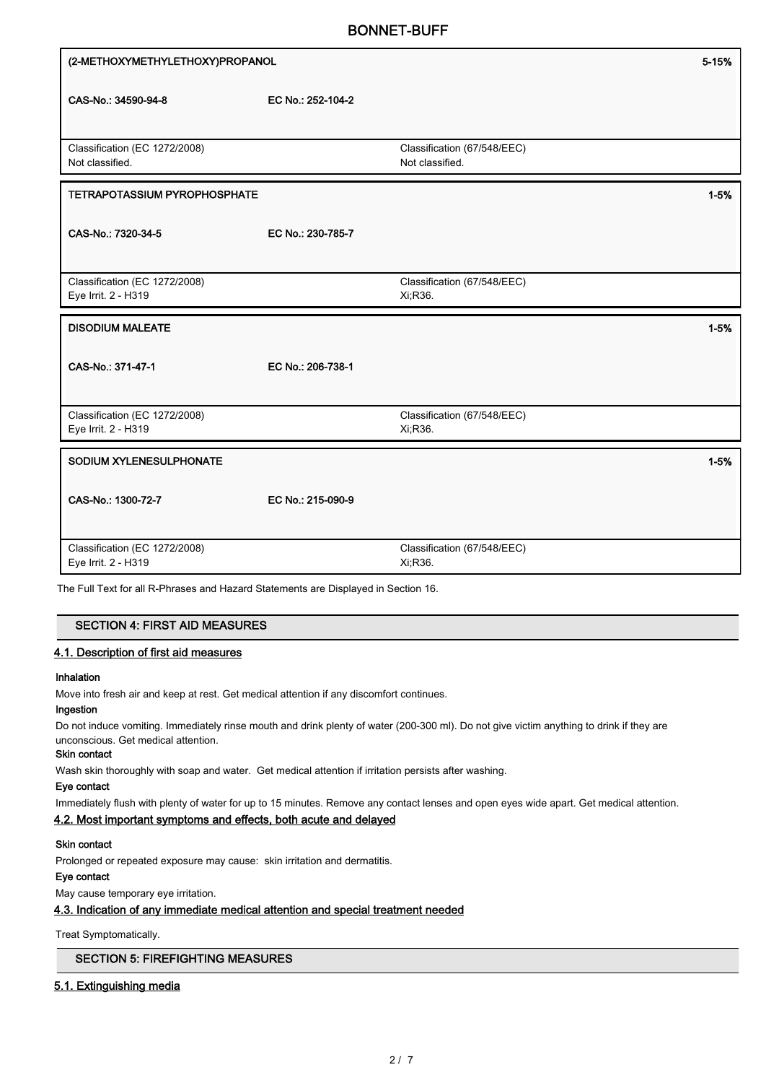| (2-METHOXYMETHYLETHOXY)PROPANOL                      |                   |                                                | 5-15%    |
|------------------------------------------------------|-------------------|------------------------------------------------|----------|
| CAS-No.: 34590-94-8                                  | EC No.: 252-104-2 |                                                |          |
| Classification (EC 1272/2008)<br>Not classified.     |                   | Classification (67/548/EEC)<br>Not classified. |          |
| <b>TETRAPOTASSIUM PYROPHOSPHATE</b>                  |                   |                                                | $1 - 5%$ |
| CAS-No.: 7320-34-5                                   | EC No.: 230-785-7 |                                                |          |
| Classification (EC 1272/2008)<br>Eye Irrit. 2 - H319 |                   | Classification (67/548/EEC)<br>Xi, R36.        |          |
| <b>DISODIUM MALEATE</b>                              |                   |                                                | $1 - 5%$ |
| CAS-No.: 371-47-1                                    | EC No.: 206-738-1 |                                                |          |
| Classification (EC 1272/2008)<br>Eye Irrit. 2 - H319 |                   | Classification (67/548/EEC)<br>Xi, R36.        |          |
| SODIUM XYLENESULPHONATE                              |                   |                                                | $1 - 5%$ |
|                                                      |                   |                                                |          |
| CAS-No.: 1300-72-7                                   | EC No.: 215-090-9 |                                                |          |

The Full Text for all R-Phrases and Hazard Statements are Displayed in Section 16.

#### SECTION 4: FIRST AID MEASURES

#### 4.1. Description of first aid measures

#### Inhalation

Move into fresh air and keep at rest. Get medical attention if any discomfort continues.

## Ingestion

Do not induce vomiting. Immediately rinse mouth and drink plenty of water (200-300 ml). Do not give victim anything to drink if they are unconscious. Get medical attention.

#### Skin contact

Wash skin thoroughly with soap and water. Get medical attention if irritation persists after washing.

#### Eye contact

Immediately flush with plenty of water for up to 15 minutes. Remove any contact lenses and open eyes wide apart. Get medical attention.

#### 4.2. Most important symptoms and effects, both acute and delayed

#### Skin contact

Prolonged or repeated exposure may cause: skin irritation and dermatitis.

#### Eye contact

May cause temporary eye irritation.

#### 4.3. Indication of any immediate medical attention and special treatment needed

Treat Symptomatically.

# SECTION 5: FIREFIGHTING MEASURES

#### 5.1. Extinguishing media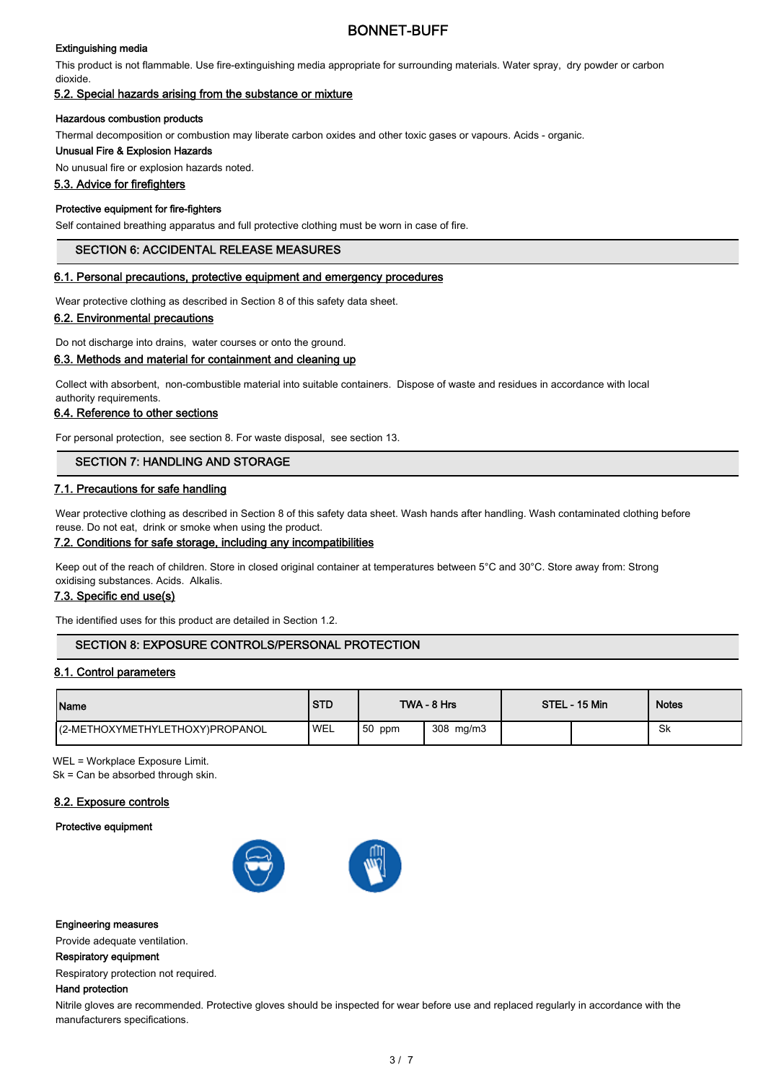#### Extinguishing media

This product is not flammable. Use fire-extinguishing media appropriate for surrounding materials. Water spray, dry powder or carbon dioxide.

# 5.2. Special hazards arising from the substance or mixture

#### Hazardous combustion products

Thermal decomposition or combustion may liberate carbon oxides and other toxic gases or vapours. Acids - organic.

#### Unusual Fire & Explosion Hazards

No unusual fire or explosion hazards noted.

#### 5.3. Advice for firefighters

#### Protective equipment for fire-fighters

Self contained breathing apparatus and full protective clothing must be worn in case of fire.

#### SECTION 6: ACCIDENTAL RELEASE MEASURES

#### 6.1. Personal precautions, protective equipment and emergency procedures

Wear protective clothing as described in Section 8 of this safety data sheet.

#### 6.2. Environmental precautions

Do not discharge into drains, water courses or onto the ground.

#### 6.3. Methods and material for containment and cleaning up

Collect with absorbent, non-combustible material into suitable containers. Dispose of waste and residues in accordance with local authority requirements.

#### 6.4. Reference to other sections

For personal protection, see section 8. For waste disposal, see section 13.

## SECTION 7: HANDLING AND STORAGE

#### 7.1. Precautions for safe handling

Wear protective clothing as described in Section 8 of this safety data sheet. Wash hands after handling. Wash contaminated clothing before reuse. Do not eat, drink or smoke when using the product.

#### 7.2. Conditions for safe storage, including any incompatibilities

Keep out of the reach of children. Store in closed original container at temperatures between 5°C and 30°C. Store away from: Strong oxidising substances. Acids. Alkalis.

#### 7.3. Specific end use(s)

The identified uses for this product are detailed in Section 1.2.

# SECTION 8: EXPOSURE CONTROLS/PERSONAL PROTECTION

#### 8.1. Control parameters

| Name                             | <b>STD</b> |           | TWA - 8 Hrs | STEL - 15 Min | <b>Notes</b> |
|----------------------------------|------------|-----------|-------------|---------------|--------------|
| I(2-METHOXYMETHYLETHOXY)PROPANOL | 'WEL       | $ 50$ ppm | 308 mg/m3   |               | Sk           |

WEL = Workplace Exposure Limit.

Sk = Can be absorbed through skin.

#### 8.2. Exposure controls

#### Protective equipment



#### Engineering measures

Provide adequate ventilation.

#### Respiratory equipment

Respiratory protection not required.

#### Hand protection

Nitrile gloves are recommended. Protective gloves should be inspected for wear before use and replaced regularly in accordance with the manufacturers specifications.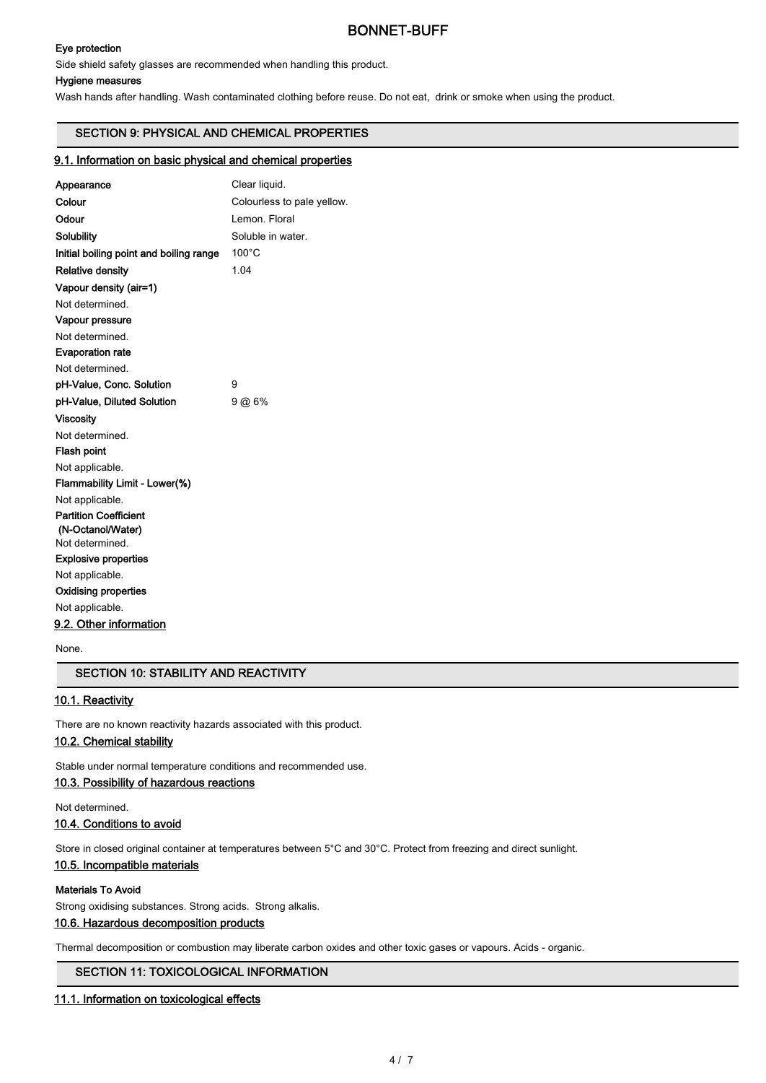#### Eye protection

Side shield safety glasses are recommended when handling this product.

#### Hygiene measures

Wash hands after handling. Wash contaminated clothing before reuse. Do not eat, drink or smoke when using the product.

## SECTION 9: PHYSICAL AND CHEMICAL PROPERTIES

#### 9.1. Information on basic physical and chemical properties

| Appearance                              | Clear liquid.              |
|-----------------------------------------|----------------------------|
| Colour                                  | Colourless to pale yellow. |
| Odour                                   | Lemon, Floral              |
| Solubility                              | Soluble in water.          |
| Initial boiling point and boiling range | $100^{\circ}$ C            |
| <b>Relative density</b>                 | 1.04                       |
| Vapour density (air=1)                  |                            |
| Not determined.                         |                            |
| Vapour pressure                         |                            |
| Not determined.                         |                            |
| <b>Evaporation rate</b>                 |                            |
| Not determined.                         |                            |
| pH-Value, Conc. Solution                | 9                          |
| pH-Value, Diluted Solution              | 9 @ 6%                     |
| Viscosity                               |                            |
| Not determined.                         |                            |
| <b>Flash point</b>                      |                            |
| Not applicable.                         |                            |
| Flammability Limit - Lower(%)           |                            |
| Not applicable.                         |                            |
| <b>Partition Coefficient</b>            |                            |
| (N-Octanol/Water)<br>Not determined.    |                            |
|                                         |                            |
| <b>Explosive properties</b>             |                            |
| Not applicable.                         |                            |
| <b>Oxidising properties</b>             |                            |
| Not applicable.                         |                            |
| 9.2. Other information                  |                            |

None.

#### SECTION 10: STABILITY AND REACTIVITY

## 10.1. Reactivity

There are no known reactivity hazards associated with this product.

## 10.2. Chemical stability

Stable under normal temperature conditions and recommended use.

## 10.3. Possibility of hazardous reactions

Not determined.

#### 10.4. Conditions to avoid

Store in closed original container at temperatures between 5°C and 30°C. Protect from freezing and direct sunlight.

## 10.5. Incompatible materials

#### Materials To Avoid

Strong oxidising substances. Strong acids. Strong alkalis.

#### 10.6. Hazardous decomposition products

Thermal decomposition or combustion may liberate carbon oxides and other toxic gases or vapours. Acids - organic.

# SECTION 11: TOXICOLOGICAL INFORMATION

#### 11.1. Information on toxicological effects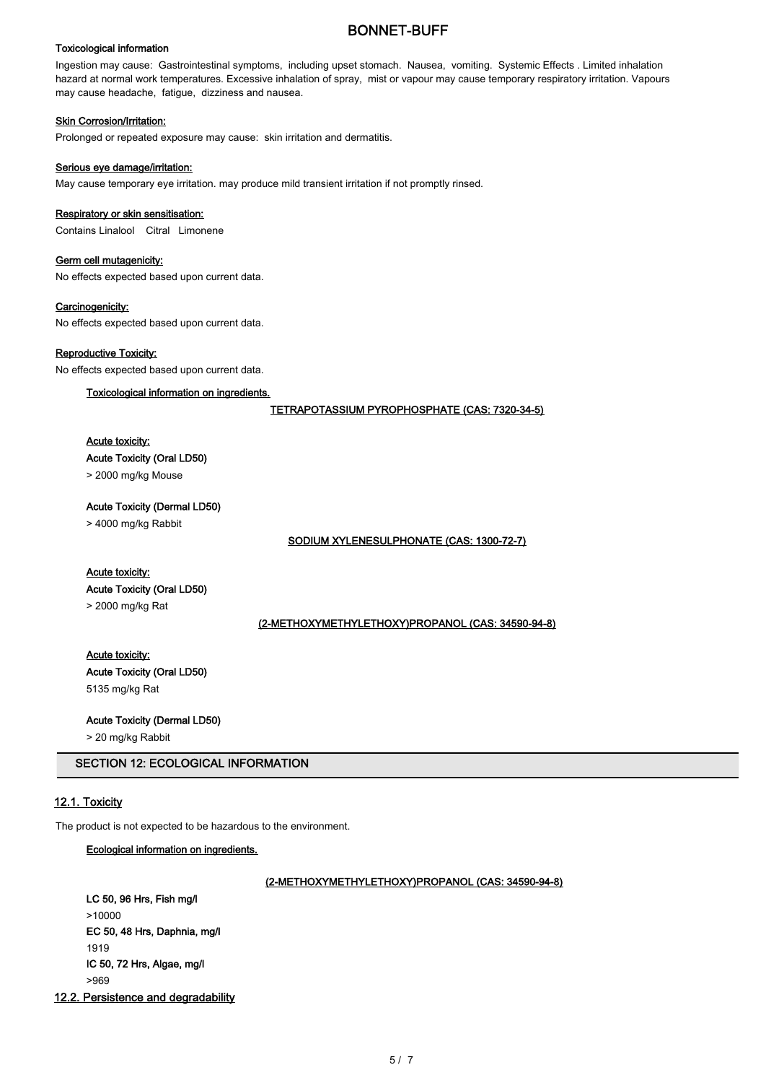#### Toxicological information

Ingestion may cause: Gastrointestinal symptoms, including upset stomach. Nausea, vomiting. Systemic Effects . Limited inhalation hazard at normal work temperatures. Excessive inhalation of spray, mist or vapour may cause temporary respiratory irritation. Vapours may cause headache, fatigue, dizziness and nausea.

#### **Skin Corrosion/Irritation:**

Prolonged or repeated exposure may cause: skin irritation and dermatitis.

#### Serious eye damage/irritation:

May cause temporary eye irritation. may produce mild transient irritation if not promptly rinsed.

#### Respiratory or skin sensitisation:

Contains Linalool Citral Limonene

## Germ cell mutagenicity:

No effects expected based upon current data.

#### Carcinogenicity:

No effects expected based upon current data.

#### Reproductive Toxicity:

No effects expected based upon current data.

#### Toxicological information on ingredients.

TETRAPOTASSIUM PYROPHOSPHATE (CAS: 7320-34-5)

## Acute toxicity:

Acute Toxicity (Oral LD50)

> 2000 mg/kg Mouse

Acute Toxicity (Dermal LD50)

> 4000 mg/kg Rabbit

SODIUM XYLENESULPHONATE (CAS: 1300-72-7)

#### Acute toxicity:

Acute Toxicity (Oral LD50)

> 2000 mg/kg Rat

(2-METHOXYMETHYLETHOXY)PROPANOL (CAS: 34590-94-8)

Acute toxicity: Acute Toxicity (Oral LD50) 5135 mg/kg Rat

Acute Toxicity (Dermal LD50)

> 20 mg/kg Rabbit

SECTION 12: ECOLOGICAL INFORMATION

## 12.1. Toxicity

The product is not expected to be hazardous to the environment.

#### Ecological information on ingredients.

## (2-METHOXYMETHYLETHOXY)PROPANOL (CAS: 34590-94-8)

LC 50, 96 Hrs, Fish mg/l >10000 EC 50, 48 Hrs, Daphnia, mg/l 1919 IC 50, 72 Hrs, Algae, mg/l >969

12.2. Persistence and degradability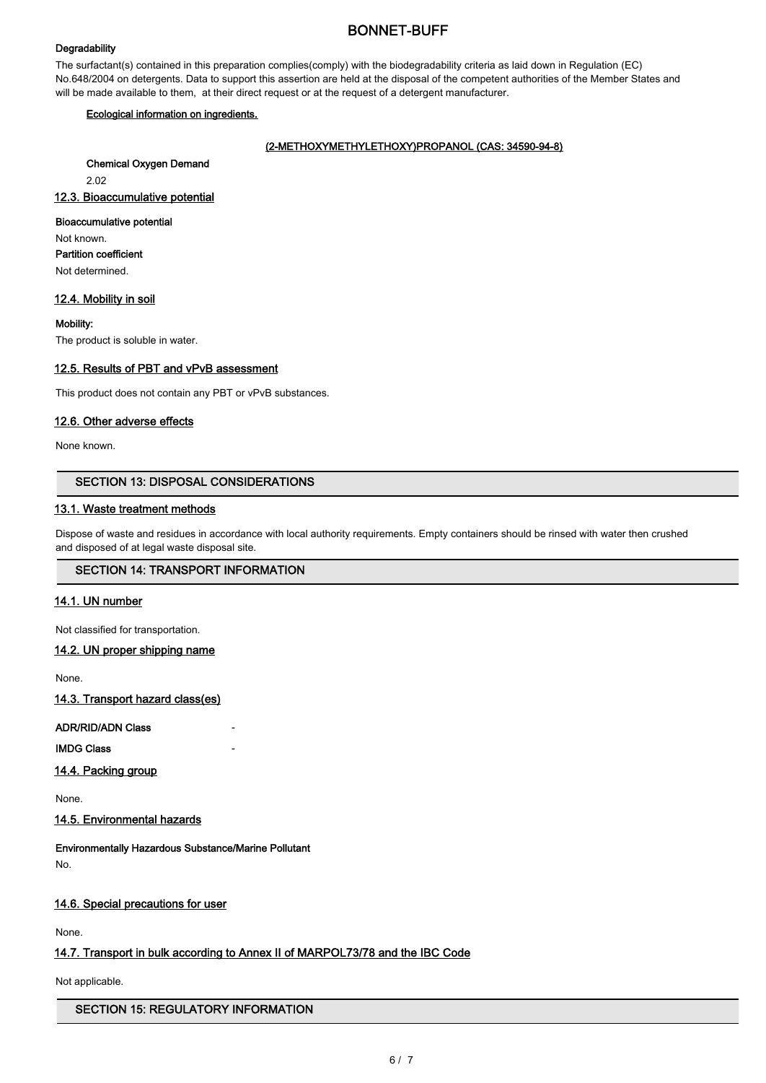#### **Degradability**

The surfactant(s) contained in this preparation complies(comply) with the biodegradability criteria as laid down in Regulation (EC) No.648/2004 on detergents. Data to support this assertion are held at the disposal of the competent authorities of the Member States and will be made available to them, at their direct request or at the request of a detergent manufacturer.

#### Ecological information on ingredients.

## (2-METHOXYMETHYLETHOXY)PROPANOL (CAS: 34590-94-8)

Chemical Oxygen Demand

2.02

## 12.3. Bioaccumulative potential

## Bioaccumulative potential

Not known.

Partition coefficient

Not determined.

## 12.4. Mobility in soil

Mobility:

The product is soluble in water.

## 12.5. Results of PBT and vPvB assessment

This product does not contain any PBT or vPvB substances.

## 12.6. Other adverse effects

None known.

# SECTION 13: DISPOSAL CONSIDERATIONS

## 13.1. Waste treatment methods

Dispose of waste and residues in accordance with local authority requirements. Empty containers should be rinsed with water then crushed and disposed of at legal waste disposal site.

# SECTION 14: TRANSPORT INFORMATION

## 14.1. UN number

Not classified for transportation.

#### 14.2. UN proper shipping name

None.

14.3. Transport hazard class(es)

# ADR/RID/ADN Class

**IMDG Class** 

## 14.4. Packing group

None.

# 14.5. Environmental hazards

Environmentally Hazardous Substance/Marine Pollutant No.

## 14.6. Special precautions for user

None.

# 14.7. Transport in bulk according to Annex II of MARPOL73/78 and the IBC Code

Not applicable.

## SECTION 15: REGULATORY INFORMATION